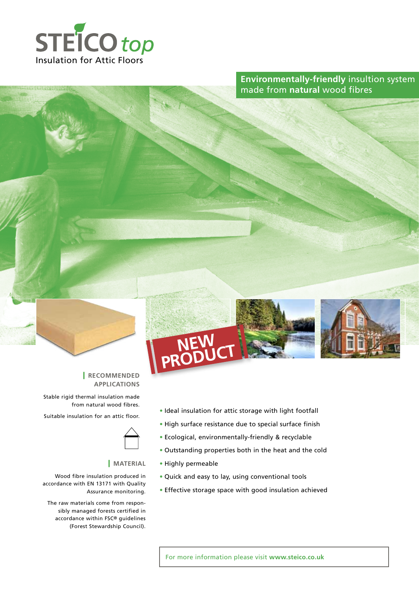

**Environmentally-friendly** insultion system made from **natural** wood fibres





#### | **Recommended Applications**

Stable rigid thermal insulation made from natural wood fibres.

Suitable insulation for an attic floor.



#### | **Material**

Wood fibre insulation produced in accordance with EN 13171 with Quality Assurance monitoring.

The raw materials come from responsibly managed forests certified in accordance within FSC® guidelines (Forest Stewardship Council).

- **•** Ideal insulation for attic storage with light footfall
- **•** High surface resistance due to special surface finish
- **•** Ecological, environmentally-friendly & recyclable
- **•** Outstanding properties both in the heat and the cold
- **•** Highly permeable
- **•** Quick and easy to lay, using conventional tools
- **•** Effective storage space with good insulation achieved

For more information please visit **www.steico.co.uk**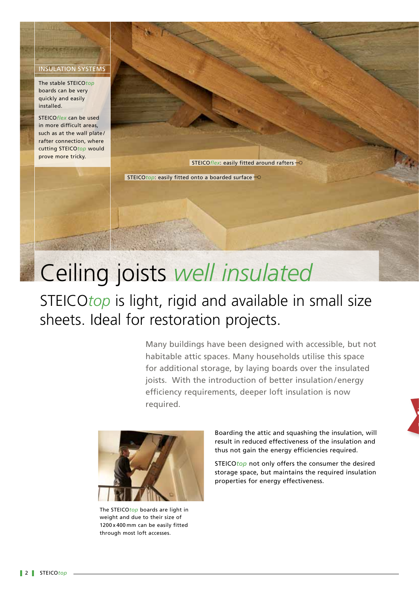#### Insulation Systems

The stable STEICO*top* boards can be very quickly and easily installed.

**Headline**

STEICO*flex* can be used in more difficult areas, such as at the wall plate/ rafter connection, where cutting STEICO*top* would prove more tricky.

STEICOflex: easily fitted around rafters-O

STEICOtop: easily fitted onto a boarded surface  $\overline{\phantom{a}}$ 

# Ceiling joists *well insulated*

# STEICO*top* is light, rigid and available in small size sheets. Ideal for restoration projects.

Many buildings have been designed with accessible, but not habitable attic spaces. Many households utilise this space for additional storage, by laying boards over the insulated joists. With the introduction of better insulation/energy efficiency requirements, deeper loft insulation is now required.



The STEICO*top* boards are light in weight and due to their size of 1200 x 400 mm can be easily fitted through most loft accesses.

Boarding the attic and squashing the insulation, will result in reduced effectiveness of the insulation and thus not gain the energy efficiencies required.

<sup>1</sup>

STEICO*top* not only offers the consumer the desired storage space, but maintains the required insulation properties for energy effectiveness.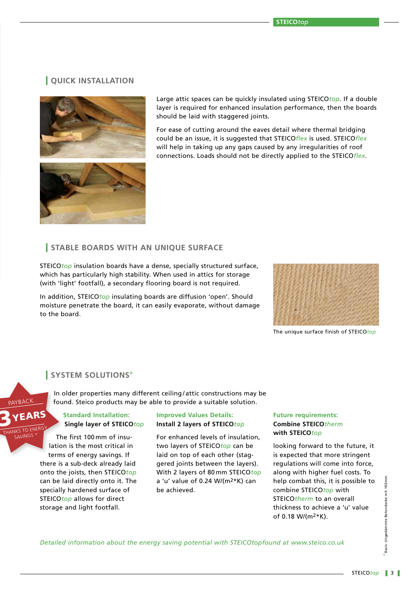# | **Quick installation**



Large attic spaces can be quickly insulated using STEICO*top*. If a double layer is required for enhanced insulation performance, then the boards should be laid with staggered joints.

For ease of cutting around the eaves detail where thermal bridging could be an issue, it is suggested that STEICO*flex* is used. STEICO*flex* will help in taking up any gaps caused by any irregularities of roof connections. Loads should not be directly applied to the STEICO*flex*.

# | **Stable Boards with an unique Surface**

STEICO*top* insulation boards have a dense, specially structured surface, which has particularly high stability. When used in attics for storage (with 'light' footfall), a secondary flooring board is not required.

In addition, STEICO*top* insulating boards are diffusion 'open'. Should moisture penetrate the board, it can easily evaporate, without damage to the board.



The unique surface finish of STEICO*top*

#### | **System solutions**<sup>a</sup>

FARS

**IKS TO ENER** SAVINGS

PAYBACK

In older properties many different ceiling / attic constructions may be found. Steico products may be able to provide a suitable solution.

#### **Standard Installation: Single layer of STEICO***top*

The first 100 mm of insulation is the most critical in terms of energy savings. If there is a sub-deck already laid onto the joists, then STEICO*top* can be laid directly onto it. The specially hardened surface of STEICO*top* allows for direct storage and light footfall.

#### **Improved Values Details: Install 2 layers of STEICO***top*

For enhanced levels of insulation, two layers of STEICO*top* can be laid on top of each other (staggered joints between the layers). With 2 layers of 80 mm STEICO*top* a 'u' value of 0.24 W/(m2\*K) can be achieved.

#### **Future requirements: Combine STEICO***therm* **with STEICO***top*

looking forward to the future, it is expected that more stringent regulations will come into force, along with higher fuel costs. To help combat this, it is possible to combine STEICO*top* with STEICO*therm* to an overall thickness to achieve a 'u' value of 0.18 W/(m2\*K).

*Detailed information about the energy saving potential with STEICOtopfound at www.steico.co.uk*